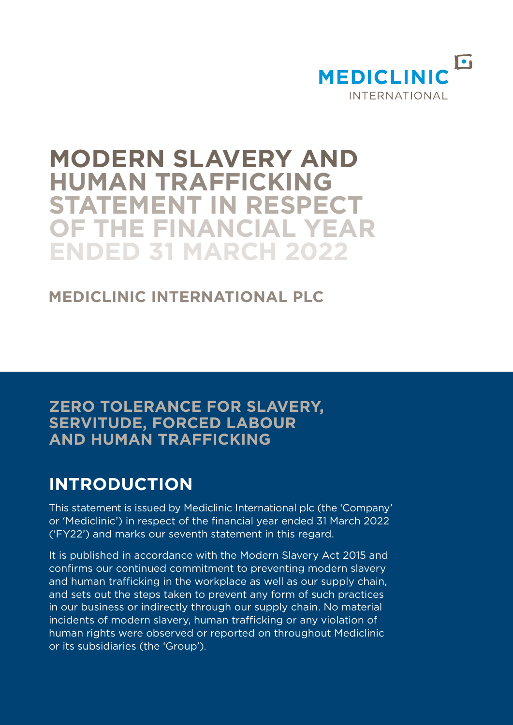

# **MODERN SLAVERY AND HUMAN TRAFFICKING STATEMENT IN RESPECT OF THE FINANCIAL YEAR ENDED 31 MARCH 2022**

# **MEDICLINIC INTERNATIONAL PLC**

# **ZERO TOLERANCE FOR SLAVERY, SERVITUDE, FORCED LABOUR AND HUMAN TRAFFICKING**

# **INTRODUCTION**

This statement is issued by Mediclinic International plc (the 'Company' or 'Mediclinic') in respect of the financial year ended 31 March 2022 ('FY22') and marks our seventh statement in this regard.

It is published in accordance with the Modern Slavery Act 2015 and confirms our continued commitment to preventing modern slavery and human trafficking in the workplace as well as our supply chain, and sets out the steps taken to prevent any form of such practices in our business or indirectly through our supply chain. No material incidents of modern slavery, human trafficking or any violation of human rights were observed or reported on throughout Mediclinic or its subsidiaries (the 'Group').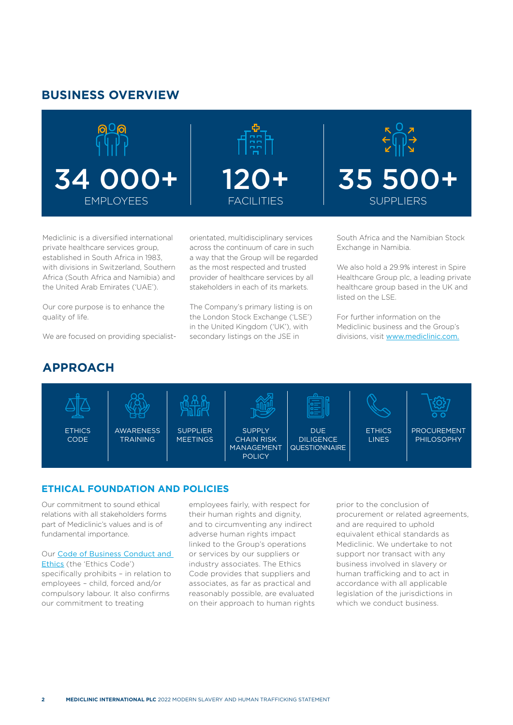## **BUSINESS OVERVIEW**





Mediclinic is a diversified international private healthcare services group, established in South Africa in 1983, with divisions in Switzerland, Southern Africa (South Africa and Namibia) and the United Arab Emirates ('UAE').

Our core purpose is to enhance the quality of life.

We are focused on providing specialist-

orientated, multidisciplinary services across the continuum of care in such a way that the Group will be regarded as the most respected and trusted provider of healthcare services by all stakeholders in each of its markets.

The Company's primary listing is on the London Stock Exchange ('LSE') in the United Kingdom ('UK'), with secondary listings on the JSE in

South Africa and the Namibian Stock Exchange in Namibia.

35 500+

SUPPLIERS

We also hold a 29.9% interest in Spire Healthcare Group plc, a leading private healthcare group based in the UK and listed on the LSE.

For further information on the Mediclinic business and the Group's divisions, visit [www.mediclinic.com.](http://www.mediclinic.com)

# **APPROACH**



## **ETHICAL FOUNDATION AND POLICIES**

Our commitment to sound ethical relations with all stakeholders forms part of Mediclinic's values and is of fundamental importance.

Our [Code of Business Conduct and](https://www.mediclinic.com/content/dam/mediclinic-com/downloads/en/governance/2021/code-of-business-conduct-and-ethics.pdf) 

[Ethics](https://www.mediclinic.com/content/dam/mediclinic-com/downloads/en/governance/2021/code-of-business-conduct-and-ethics.pdf) (the 'Ethics Code') specifically prohibits – in relation to employees – child, forced and/or compulsory labour. It also confirms our commitment to treating

employees fairly, with respect for their human rights and dignity, and to circumventing any indirect adverse human rights impact linked to the Group's operations or services by our suppliers or industry associates. The Ethics Code provides that suppliers and associates, as far as practical and reasonably possible, are evaluated on their approach to human rights

prior to the conclusion of procurement or related agreements, and are required to uphold equivalent ethical standards as Mediclinic. We undertake to not support nor transact with any business involved in slavery or human trafficking and to act in accordance with all applicable legislation of the jurisdictions in which we conduct business.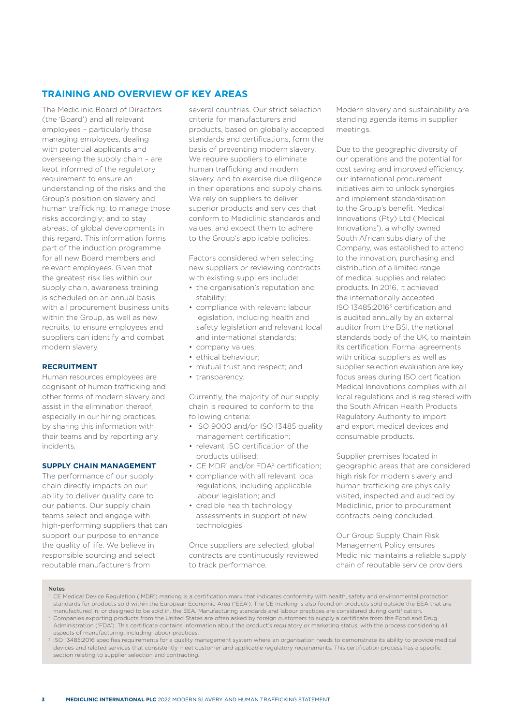## **TRAINING AND OVERVIEW OF KEY AREAS**

The Mediclinic Board of Directors (the 'Board') and all relevant employees – particularly those managing employees, dealing with potential applicants and overseeing the supply chain – are kept informed of the regulatory requirement to ensure an understanding of the risks and the Group's position on slavery and human trafficking; to manage those risks accordingly; and to stay abreast of global developments in this regard. This information forms part of the induction programme for all new Board members and relevant employees. Given that the greatest risk lies within our supply chain, awareness training is scheduled on an annual basis with all procurement business units within the Group, as well as new recruits, to ensure employees and suppliers can identify and combat modern slavery.

#### **RECRUITMENT**

Human resources employees are cognisant of human trafficking and other forms of modern slavery and assist in the elimination thereof, especially in our hiring practices, by sharing this information with their teams and by reporting any incidents.

#### **SUPPLY CHAIN MANAGEMENT**

The performance of our supply chain directly impacts on our ability to deliver quality care to our patients. Our supply chain teams select and engage with high-performing suppliers that can support our purpose to enhance the quality of life. We believe in responsible sourcing and select reputable manufacturers from

several countries. Our strict selection criteria for manufacturers and products, based on globally accepted standards and certifications, form the basis of preventing modern slavery. We require suppliers to eliminate human trafficking and modern slavery, and to exercise due diligence in their operations and supply chains. We rely on suppliers to deliver superior products and services that conform to Mediclinic standards and values, and expect them to adhere to the Group's applicable policies.

Factors considered when selecting new suppliers or reviewing contracts with existing suppliers include:

- the organisation's reputation and stability;
- compliance with relevant labour legislation, including health and safety legislation and relevant local and international standards;
- company values;
- ethical behaviour;
- mutual trust and respect; and
- transparency.

Currently, the majority of our supply chain is required to conform to the following criteria:

- ISO 9000 and/or ISO 13485 quality management certification;
- relevant ISO certification of the products utilised;
- CE MDR<sup>1</sup> and/or FDA<sup>2</sup> certification;
- compliance with all relevant local regulations, including applicable labour legislation; and
- credible health technology assessments in support of new technologies.

Once suppliers are selected, global contracts are continuously reviewed to track performance.

Modern slavery and sustainability are standing agenda items in supplier meetings.

Due to the geographic diversity of our operations and the potential for cost saving and improved efficiency, our international procurement initiatives aim to unlock synergies and implement standardisation to the Group's benefit. Medical Innovations (Pty) Ltd ('Medical Innovations'), a wholly owned South African subsidiary of the Company, was established to attend to the innovation, purchasing and distribution of a limited range of medical supplies and related products. In 2016, it achieved the internationally accepted ISO 13485:20163 certification and is audited annually by an external auditor from the BSI, the national standards body of the UK, to maintain its certification. Formal agreements with critical suppliers as well as supplier selection evaluation are key focus areas during ISO certification. Medical Innovations complies with all local regulations and is registered with the South African Health Products Regulatory Authority to import and export medical devices and consumable products.

Supplier premises located in geographic areas that are considered high risk for modern slavery and human trafficking are physically visited, inspected and audited by Mediclinic, prior to procurement contracts being concluded.

Our Group Supply Chain Risk Management Policy ensures Mediclinic maintains a reliable supply chain of reputable service providers

#### Notes

- <sup>1</sup> CE Medical Device Regulation ('MDR') marking is a certification mark that indicates conformity with health, safety and environmental protection standards for products sold within the European Economic Area ('EEA'). The CE marking is also found on products sold outside the EEA that are manufactured in, or designed to be sold in, the EEA. Manufacturing standards and labour practices are considered during certification. <sup>2</sup> Companies exporting products from the United States are often asked by foreign customers to supply a certificate from the Food and Drug
- Administration ('FDA'). This certificate contains information about the product's regulatory or marketing status, with the process considering all aspects of manufacturing, including labour practices.
- <sup>3</sup> ISO 13485:2016 specifies requirements for a quality management system where an organisation needs to demonstrate its ability to provide medical devices and related services that consistently meet customer and applicable regulatory requirements. This certification process has a specific section relating to supplier selection and contracting.